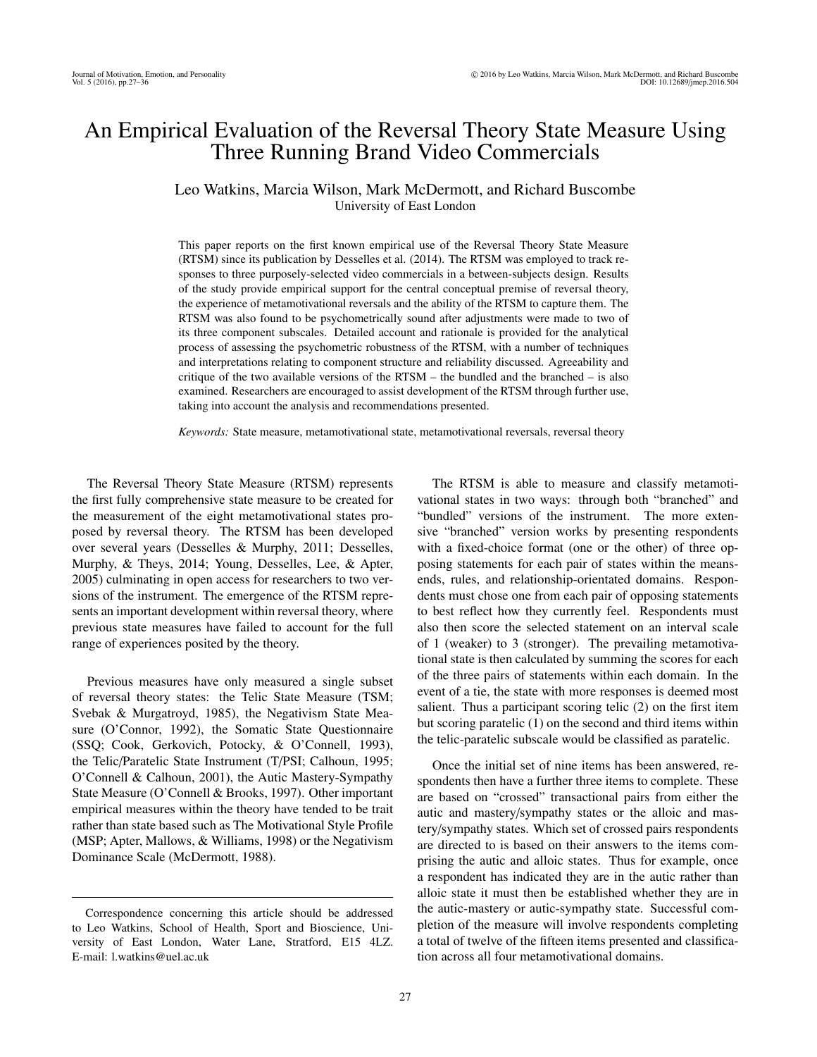# An Empirical Evaluation of the Reversal Theory State Measure Using Three Running Brand Video Commercials

# Leo Watkins, Marcia Wilson, Mark McDermott, and Richard Buscombe University of East London

This paper reports on the first known empirical use of the Reversal Theory State Measure (RTSM) since its publication by Desselles et al. (2014). The RTSM was employed to track responses to three purposely-selected video commercials in a between-subjects design. Results of the study provide empirical support for the central conceptual premise of reversal theory, the experience of metamotivational reversals and the ability of the RTSM to capture them. The RTSM was also found to be psychometrically sound after adjustments were made to two of its three component subscales. Detailed account and rationale is provided for the analytical process of assessing the psychometric robustness of the RTSM, with a number of techniques and interpretations relating to component structure and reliability discussed. Agreeability and critique of the two available versions of the  $RTSM$  – the bundled and the branched – is also examined. Researchers are encouraged to assist development of the RTSM through further use, taking into account the analysis and recommendations presented.

*Keywords:* State measure, metamotivational state, metamotivational reversals, reversal theory

The Reversal Theory State Measure (RTSM) represents the first fully comprehensive state measure to be created for the measurement of the eight metamotivational states proposed by reversal theory. The RTSM has been developed over several years (Desselles & Murphy, 2011; Desselles, Murphy, & Theys, 2014; Young, Desselles, Lee, & Apter, 2005) culminating in open access for researchers to two versions of the instrument. The emergence of the RTSM represents an important development within reversal theory, where previous state measures have failed to account for the full range of experiences posited by the theory.

Previous measures have only measured a single subset of reversal theory states: the Telic State Measure (TSM; Svebak & Murgatroyd, 1985), the Negativism State Measure (O'Connor, 1992), the Somatic State Questionnaire (SSQ; Cook, Gerkovich, Potocky, & O'Connell, 1993), the Telic/Paratelic State Instrument (T/PSI; Calhoun, 1995; O'Connell & Calhoun, 2001), the Autic Mastery-Sympathy State Measure (O'Connell & Brooks, 1997). Other important empirical measures within the theory have tended to be trait rather than state based such as The Motivational Style Profile (MSP; Apter, Mallows, & Williams, 1998) or the Negativism Dominance Scale (McDermott, 1988).

The RTSM is able to measure and classify metamotivational states in two ways: through both "branched" and "bundled" versions of the instrument. The more extensive "branched" version works by presenting respondents with a fixed-choice format (one or the other) of three opposing statements for each pair of states within the meansends, rules, and relationship-orientated domains. Respondents must chose one from each pair of opposing statements to best reflect how they currently feel. Respondents must also then score the selected statement on an interval scale of 1 (weaker) to 3 (stronger). The prevailing metamotivational state is then calculated by summing the scores for each of the three pairs of statements within each domain. In the event of a tie, the state with more responses is deemed most salient. Thus a participant scoring telic (2) on the first item but scoring paratelic (1) on the second and third items within the telic-paratelic subscale would be classified as paratelic.

Once the initial set of nine items has been answered, respondents then have a further three items to complete. These are based on "crossed" transactional pairs from either the autic and mastery/sympathy states or the alloic and mastery/sympathy states. Which set of crossed pairs respondents are directed to is based on their answers to the items comprising the autic and alloic states. Thus for example, once a respondent has indicated they are in the autic rather than alloic state it must then be established whether they are in the autic-mastery or autic-sympathy state. Successful completion of the measure will involve respondents completing a total of twelve of the fifteen items presented and classification across all four metamotivational domains.

Correspondence concerning this article should be addressed to Leo Watkins, School of Health, Sport and Bioscience, University of East London, Water Lane, Stratford, E15 4LZ. E-mail: l.watkins@uel.ac.uk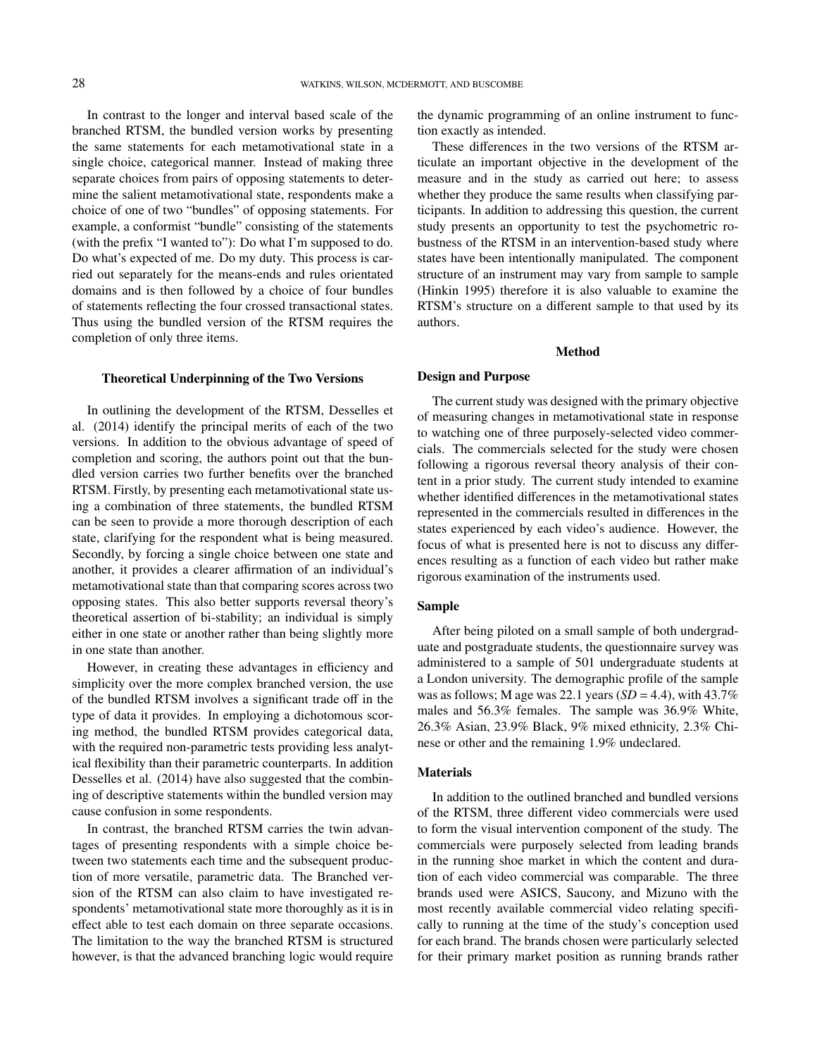In contrast to the longer and interval based scale of the branched RTSM, the bundled version works by presenting the same statements for each metamotivational state in a single choice, categorical manner. Instead of making three separate choices from pairs of opposing statements to determine the salient metamotivational state, respondents make a choice of one of two "bundles" of opposing statements. For example, a conformist "bundle" consisting of the statements (with the prefix "I wanted to"): Do what I'm supposed to do. Do what's expected of me. Do my duty. This process is carried out separately for the means-ends and rules orientated domains and is then followed by a choice of four bundles of statements reflecting the four crossed transactional states. Thus using the bundled version of the RTSM requires the completion of only three items.

#### Theoretical Underpinning of the Two Versions

In outlining the development of the RTSM, Desselles et al. (2014) identify the principal merits of each of the two versions. In addition to the obvious advantage of speed of completion and scoring, the authors point out that the bundled version carries two further benefits over the branched RTSM. Firstly, by presenting each metamotivational state using a combination of three statements, the bundled RTSM can be seen to provide a more thorough description of each state, clarifying for the respondent what is being measured. Secondly, by forcing a single choice between one state and another, it provides a clearer affirmation of an individual's metamotivational state than that comparing scores across two opposing states. This also better supports reversal theory's theoretical assertion of bi-stability; an individual is simply either in one state or another rather than being slightly more in one state than another.

However, in creating these advantages in efficiency and simplicity over the more complex branched version, the use of the bundled RTSM involves a significant trade off in the type of data it provides. In employing a dichotomous scoring method, the bundled RTSM provides categorical data, with the required non-parametric tests providing less analytical flexibility than their parametric counterparts. In addition Desselles et al. (2014) have also suggested that the combining of descriptive statements within the bundled version may cause confusion in some respondents.

In contrast, the branched RTSM carries the twin advantages of presenting respondents with a simple choice between two statements each time and the subsequent production of more versatile, parametric data. The Branched version of the RTSM can also claim to have investigated respondents' metamotivational state more thoroughly as it is in effect able to test each domain on three separate occasions. The limitation to the way the branched RTSM is structured however, is that the advanced branching logic would require the dynamic programming of an online instrument to function exactly as intended.

These differences in the two versions of the RTSM articulate an important objective in the development of the measure and in the study as carried out here; to assess whether they produce the same results when classifying participants. In addition to addressing this question, the current study presents an opportunity to test the psychometric robustness of the RTSM in an intervention-based study where states have been intentionally manipulated. The component structure of an instrument may vary from sample to sample (Hinkin 1995) therefore it is also valuable to examine the RTSM's structure on a different sample to that used by its authors.

#### Method

#### Design and Purpose

The current study was designed with the primary objective of measuring changes in metamotivational state in response to watching one of three purposely-selected video commercials. The commercials selected for the study were chosen following a rigorous reversal theory analysis of their content in a prior study. The current study intended to examine whether identified differences in the metamotivational states represented in the commercials resulted in differences in the states experienced by each video's audience. However, the focus of what is presented here is not to discuss any differences resulting as a function of each video but rather make rigorous examination of the instruments used.

## Sample

After being piloted on a small sample of both undergraduate and postgraduate students, the questionnaire survey was administered to a sample of 501 undergraduate students at a London university. The demographic profile of the sample was as follows; M age was 22.1 years  $(SD = 4.4)$ , with  $43.7\%$ males and 56.3% females. The sample was 36.9% White, 26.3% Asian, 23.9% Black, 9% mixed ethnicity, 2.3% Chinese or other and the remaining 1.9% undeclared.

# Materials

In addition to the outlined branched and bundled versions of the RTSM, three different video commercials were used to form the visual intervention component of the study. The commercials were purposely selected from leading brands in the running shoe market in which the content and duration of each video commercial was comparable. The three brands used were ASICS, Saucony, and Mizuno with the most recently available commercial video relating specifically to running at the time of the study's conception used for each brand. The brands chosen were particularly selected for their primary market position as running brands rather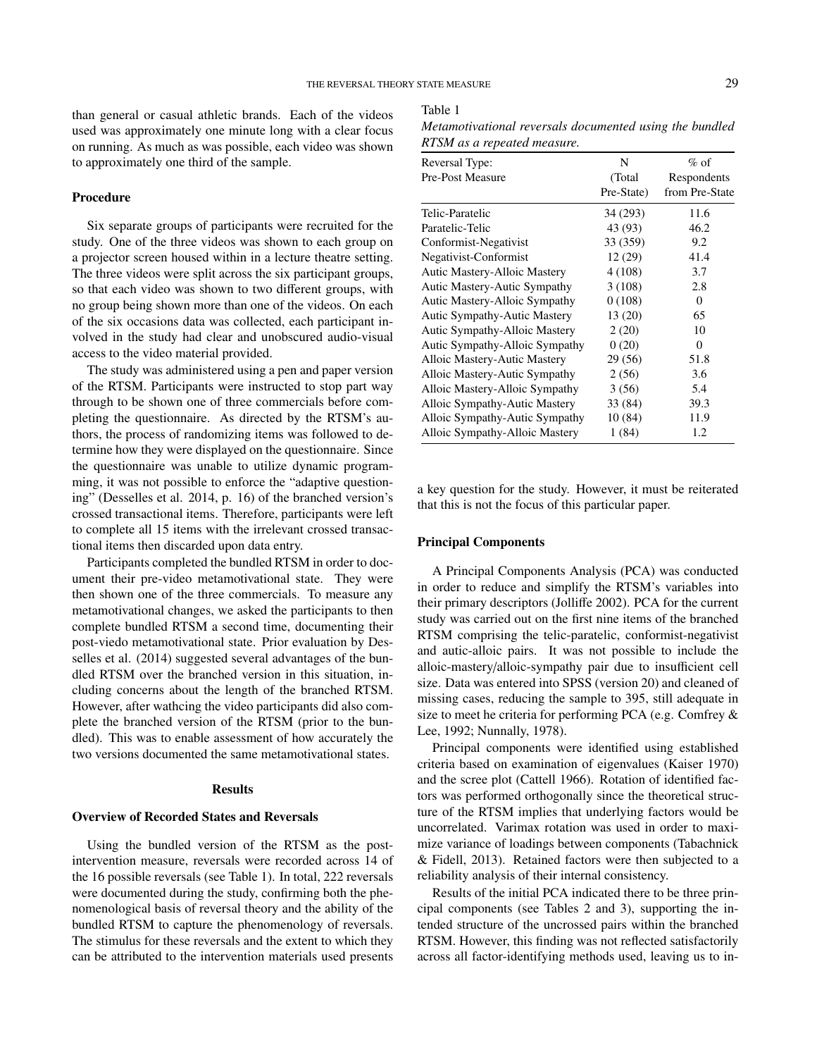than general or casual athletic brands. Each of the videos used was approximately one minute long with a clear focus on running. As much as was possible, each video was shown to approximately one third of the sample.

#### Procedure

Six separate groups of participants were recruited for the study. One of the three videos was shown to each group on a projector screen housed within in a lecture theatre setting. The three videos were split across the six participant groups, so that each video was shown to two different groups, with no group being shown more than one of the videos. On each of the six occasions data was collected, each participant involved in the study had clear and unobscured audio-visual access to the video material provided.

The study was administered using a pen and paper version of the RTSM. Participants were instructed to stop part way through to be shown one of three commercials before completing the questionnaire. As directed by the RTSM's authors, the process of randomizing items was followed to determine how they were displayed on the questionnaire. Since the questionnaire was unable to utilize dynamic programming, it was not possible to enforce the "adaptive questioning" (Desselles et al. 2014, p. 16) of the branched version's crossed transactional items. Therefore, participants were left to complete all 15 items with the irrelevant crossed transactional items then discarded upon data entry.

Participants completed the bundled RTSM in order to document their pre-video metamotivational state. They were then shown one of the three commercials. To measure any metamotivational changes, we asked the participants to then complete bundled RTSM a second time, documenting their post-viedo metamotivational state. Prior evaluation by Desselles et al. (2014) suggested several advantages of the bundled RTSM over the branched version in this situation, including concerns about the length of the branched RTSM. However, after wathcing the video participants did also complete the branched version of the RTSM (prior to the bundled). This was to enable assessment of how accurately the two versions documented the same metamotivational states.

#### Results

## Overview of Recorded States and Reversals

Using the bundled version of the RTSM as the postintervention measure, reversals were recorded across 14 of the 16 possible reversals (see Table 1). In total, 222 reversals were documented during the study, confirming both the phenomenological basis of reversal theory and the ability of the bundled RTSM to capture the phenomenology of reversals. The stimulus for these reversals and the extent to which they can be attributed to the intervention materials used presents

#### Table 1

*Metamotivational reversals documented using the bundled RTSM as a repeated measure.*

| Reversal Type:                       | N          | $%$ of         |
|--------------------------------------|------------|----------------|
| Pre-Post Measure                     | (Total)    | Respondents    |
|                                      | Pre-State) | from Pre-State |
| Telic-Paratelic                      | 34 (293)   | 11.6           |
| Paratelic-Telic                      | 43 (93)    | 46.2           |
| Conformist-Negativist                | 33 (359)   | 9.2            |
| Negativist-Conformist                | 12(29)     | 41.4           |
| Autic Mastery-Alloic Mastery         | 4 (108)    | 3.7            |
| Autic Mastery-Autic Sympathy         | 3(108)     | 2.8            |
| <b>Autic Mastery-Alloic Sympathy</b> | 0(108)     | $\mathbf{0}$   |
| <b>Autic Sympathy-Autic Mastery</b>  | 13(20)     | 65             |
| Autic Sympathy-Alloic Mastery        | 2(20)      | 10             |
| Autic Sympathy-Alloic Sympathy       | 0(20)      | $\mathbf{0}$   |
| Alloic Mastery-Autic Mastery         | 29 (56)    | 51.8           |
| Alloic Mastery-Autic Sympathy        | 2(56)      | 3.6            |
| Alloic Mastery-Alloic Sympathy       | 3(56)      | 5.4            |
| Alloic Sympathy-Autic Mastery        | 33 (84)    | 39.3           |
| Alloic Sympathy-Autic Sympathy       | 10(84)     | 11.9           |
| Alloic Sympathy-Alloic Mastery       | 1(84)      | 1.2            |

a key question for the study. However, it must be reiterated that this is not the focus of this particular paper.

### Principal Components

A Principal Components Analysis (PCA) was conducted in order to reduce and simplify the RTSM's variables into their primary descriptors (Jolliffe 2002). PCA for the current study was carried out on the first nine items of the branched RTSM comprising the telic-paratelic, conformist-negativist and autic-alloic pairs. It was not possible to include the alloic-mastery/alloic-sympathy pair due to insufficient cell size. Data was entered into SPSS (version 20) and cleaned of missing cases, reducing the sample to 395, still adequate in size to meet he criteria for performing PCA (e.g. Comfrey & Lee, 1992; Nunnally, 1978).

Principal components were identified using established criteria based on examination of eigenvalues (Kaiser 1970) and the scree plot (Cattell 1966). Rotation of identified factors was performed orthogonally since the theoretical structure of the RTSM implies that underlying factors would be uncorrelated. Varimax rotation was used in order to maximize variance of loadings between components (Tabachnick & Fidell, 2013). Retained factors were then subjected to a reliability analysis of their internal consistency.

Results of the initial PCA indicated there to be three principal components (see Tables 2 and 3), supporting the intended structure of the uncrossed pairs within the branched RTSM. However, this finding was not reflected satisfactorily across all factor-identifying methods used, leaving us to in-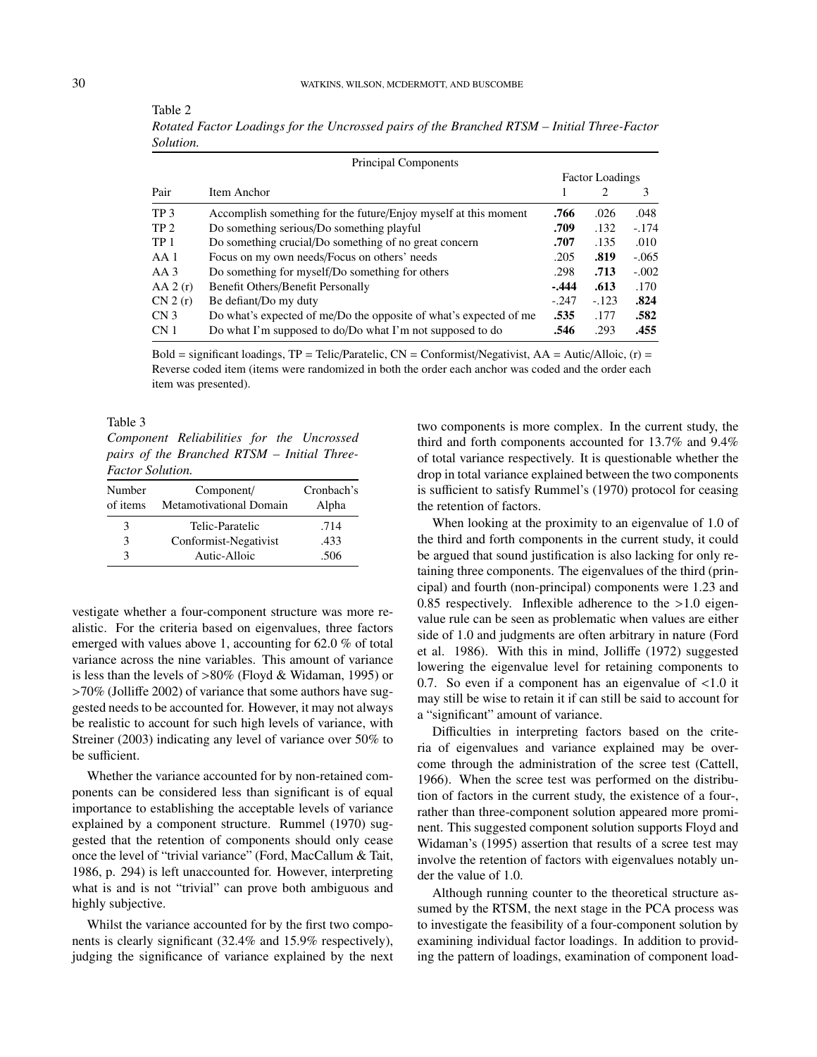|                        | Principal Components                                              |         |                |         |
|------------------------|-------------------------------------------------------------------|---------|----------------|---------|
| <b>Factor Loadings</b> |                                                                   |         |                |         |
| Pair                   | Item Anchor                                                       |         | $\overline{c}$ | 3       |
| TP <sub>3</sub>        | Accomplish something for the future/Enjoy myself at this moment   | .766    | .026           | .048    |
| TP <sub>2</sub>        | Do something serious/Do something playful                         | .709    | .132           | $-.174$ |
| TP <sub>1</sub>        | Do something crucial/Do something of no great concern             | .707    | .135           | .010    |
| AA1                    | Focus on my own needs/Focus on others' needs                      | .205    | .819           | $-.065$ |
| $AA$ 3                 | Do something for myself/Do something for others                   | .298    | .713           | $-.002$ |
| AA 2(r)                | Benefit Others/Benefit Personally                                 | $-.444$ | .613           | .170    |
| CN 2(r)                | Be defiant/Do my duty                                             | $-.247$ | $-123$         | .824    |
| CN <sub>3</sub>        | Do what's expected of me/Do the opposite of what's expected of me | .535    | .177           | .582    |
| CN 1                   | Do what I'm supposed to do/Do what I'm not supposed to do         | .546    | .293           | .455    |

*Rotated Factor Loadings for the Uncrossed pairs of the Branched RTSM – Initial Three-Factor Solution.*

Bold = significant loadings,  $TP = Telic/Paratelic$ ,  $CN = Conformist/Negativist$ ,  $AA = Autic/Alloic$ ,  $(r) =$ Reverse coded item (items were randomized in both the order each anchor was coded and the order each item was presented).

Table 3

*Component Reliabilities for the Uncrossed pairs of the Branched RTSM – Initial Three-Factor Solution.*

| Number<br>of items | Component/<br><b>Metamotivational Domain</b> | Cronbach's<br>Alpha |
|--------------------|----------------------------------------------|---------------------|
| 3                  | Telic-Paratelic                              | .714                |
| 3                  | Conformist-Negativist                        | .433                |
| $\mathcal{R}$      | Autic-Alloic                                 | .506                |

vestigate whether a four-component structure was more realistic. For the criteria based on eigenvalues, three factors emerged with values above 1, accounting for 62.0 % of total variance across the nine variables. This amount of variance is less than the levels of >80% (Floyd & Widaman, 1995) or >70% (Jolliffe 2002) of variance that some authors have suggested needs to be accounted for. However, it may not always be realistic to account for such high levels of variance, with Streiner (2003) indicating any level of variance over 50% to be sufficient.

Whether the variance accounted for by non-retained components can be considered less than significant is of equal importance to establishing the acceptable levels of variance explained by a component structure. Rummel (1970) suggested that the retention of components should only cease once the level of "trivial variance" (Ford, MacCallum & Tait, 1986, p. 294) is left unaccounted for. However, interpreting what is and is not "trivial" can prove both ambiguous and highly subjective.

Whilst the variance accounted for by the first two components is clearly significant (32.4% and 15.9% respectively), judging the significance of variance explained by the next two components is more complex. In the current study, the third and forth components accounted for 13.7% and 9.4% of total variance respectively. It is questionable whether the drop in total variance explained between the two components is sufficient to satisfy Rummel's (1970) protocol for ceasing the retention of factors.

When looking at the proximity to an eigenvalue of 1.0 of the third and forth components in the current study, it could be argued that sound justification is also lacking for only retaining three components. The eigenvalues of the third (principal) and fourth (non-principal) components were 1.23 and 0.85 respectively. Inflexible adherence to the >1.0 eigenvalue rule can be seen as problematic when values are either side of 1.0 and judgments are often arbitrary in nature (Ford et al. 1986). With this in mind, Jolliffe (1972) suggested lowering the eigenvalue level for retaining components to 0.7. So even if a component has an eigenvalue of <1.0 it may still be wise to retain it if can still be said to account for a "significant" amount of variance.

Difficulties in interpreting factors based on the criteria of eigenvalues and variance explained may be overcome through the administration of the scree test (Cattell, 1966). When the scree test was performed on the distribution of factors in the current study, the existence of a four-, rather than three-component solution appeared more prominent. This suggested component solution supports Floyd and Widaman's (1995) assertion that results of a scree test may involve the retention of factors with eigenvalues notably under the value of 1.0.

Although running counter to the theoretical structure assumed by the RTSM, the next stage in the PCA process was to investigate the feasibility of a four-component solution by examining individual factor loadings. In addition to providing the pattern of loadings, examination of component load-

Table 2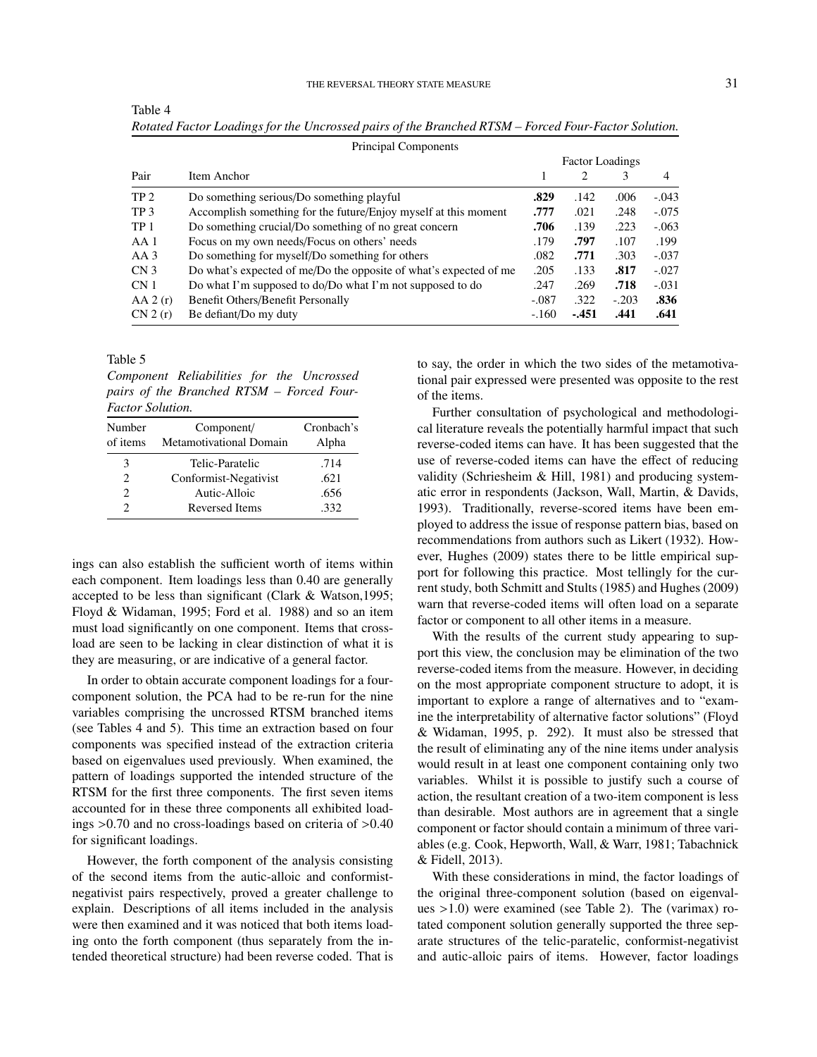|                 | Principal Components                                              |                        |        |         |         |
|-----------------|-------------------------------------------------------------------|------------------------|--------|---------|---------|
|                 |                                                                   | <b>Factor Loadings</b> |        |         |         |
| Pair            | Item Anchor                                                       |                        | 2      | 3       | 4       |
| TP <sub>2</sub> | Do something serious/Do something playful                         | .829                   | .142   | .006    | $-.043$ |
| TP <sub>3</sub> | Accomplish something for the future/Enjoy myself at this moment   | .777                   | .021   | .248    | $-.075$ |
| TP <sub>1</sub> | Do something crucial/Do something of no great concern             | .706                   | .139   | .223    | $-.063$ |
| AA 1            | Focus on my own needs/Focus on others' needs                      | .179                   | .797   | .107    | .199    |
| $AA$ 3          | Do something for myself/Do something for others                   | .082                   | .771   | .303    | $-.037$ |
| CN <sub>3</sub> | Do what's expected of me/Do the opposite of what's expected of me | .205                   | .133   | .817    | $-.027$ |
| CN <sub>1</sub> | Do what I'm supposed to do/Do what I'm not supposed to do         | .247                   | .269   | .718    | $-.031$ |
| AA 2(r)         | Benefit Others/Benefit Personally                                 | $-.087$                | .322   | $-.203$ | .836    |
| CN 2(r)         | Be defiant/Do my duty                                             | $-.160$                | $-451$ | .441    | .641    |

Table 4 *Rotated Factor Loadings for the Uncrossed pairs of the Branched RTSM – Forced Four-Factor Solution.*

Table 5

*Component Reliabilities for the Uncrossed pairs of the Branched RTSM – Forced Four-Factor Solution.*

| Number<br>of items | Component/<br><b>Metamotivational Domain</b> | Cronbach's<br>Alpha |
|--------------------|----------------------------------------------|---------------------|
| 3                  | Telic-Paratelic                              | .714                |
| $\mathfrak{D}$     | Conformist-Negativist                        | .621                |
| $\mathfrak{D}$     | Autic-Alloic                                 | .656                |
| 2                  | <b>Reversed Items</b>                        | .332                |

ings can also establish the sufficient worth of items within each component. Item loadings less than 0.40 are generally accepted to be less than significant (Clark & Watson,1995; Floyd & Widaman, 1995; Ford et al. 1988) and so an item must load significantly on one component. Items that crossload are seen to be lacking in clear distinction of what it is they are measuring, or are indicative of a general factor.

In order to obtain accurate component loadings for a fourcomponent solution, the PCA had to be re-run for the nine variables comprising the uncrossed RTSM branched items (see Tables 4 and 5). This time an extraction based on four components was specified instead of the extraction criteria based on eigenvalues used previously. When examined, the pattern of loadings supported the intended structure of the RTSM for the first three components. The first seven items accounted for in these three components all exhibited loadings >0.70 and no cross-loadings based on criteria of >0.40 for significant loadings.

However, the forth component of the analysis consisting of the second items from the autic-alloic and conformistnegativist pairs respectively, proved a greater challenge to explain. Descriptions of all items included in the analysis were then examined and it was noticed that both items loading onto the forth component (thus separately from the intended theoretical structure) had been reverse coded. That is

to say, the order in which the two sides of the metamotivational pair expressed were presented was opposite to the rest of the items.

Further consultation of psychological and methodological literature reveals the potentially harmful impact that such reverse-coded items can have. It has been suggested that the use of reverse-coded items can have the effect of reducing validity (Schriesheim & Hill, 1981) and producing systematic error in respondents (Jackson, Wall, Martin, & Davids, 1993). Traditionally, reverse-scored items have been employed to address the issue of response pattern bias, based on recommendations from authors such as Likert (1932). However, Hughes (2009) states there to be little empirical support for following this practice. Most tellingly for the current study, both Schmitt and Stults (1985) and Hughes (2009) warn that reverse-coded items will often load on a separate factor or component to all other items in a measure.

With the results of the current study appearing to support this view, the conclusion may be elimination of the two reverse-coded items from the measure. However, in deciding on the most appropriate component structure to adopt, it is important to explore a range of alternatives and to "examine the interpretability of alternative factor solutions" (Floyd & Widaman, 1995, p. 292). It must also be stressed that the result of eliminating any of the nine items under analysis would result in at least one component containing only two variables. Whilst it is possible to justify such a course of action, the resultant creation of a two-item component is less than desirable. Most authors are in agreement that a single component or factor should contain a minimum of three variables (e.g. Cook, Hepworth, Wall, & Warr, 1981; Tabachnick & Fidell, 2013).

With these considerations in mind, the factor loadings of the original three-component solution (based on eigenvalues >1.0) were examined (see Table 2). The (varimax) rotated component solution generally supported the three separate structures of the telic-paratelic, conformist-negativist and autic-alloic pairs of items. However, factor loadings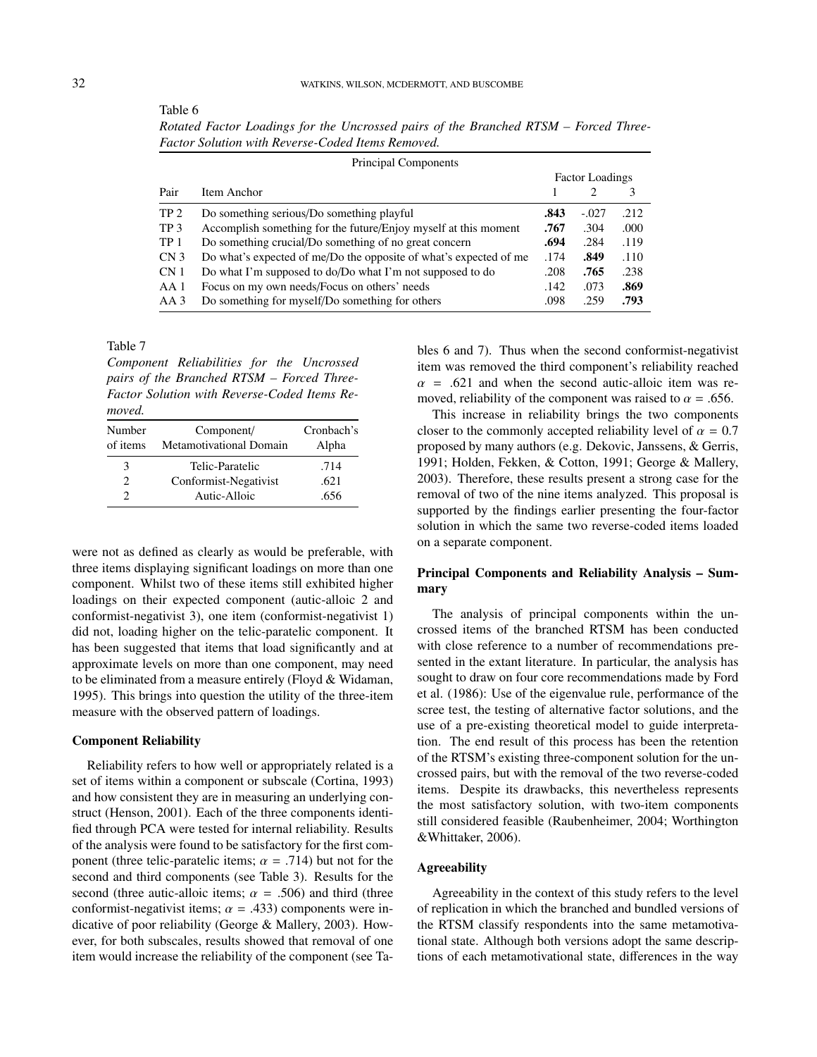| ×       | ۰ |
|---------|---|
|         | ٠ |
| ۰.<br>٠ |   |

Table 6

*Rotated Factor Loadings for the Uncrossed pairs of the Branched RTSM – Forced Three-Factor Solution with Reverse-Coded Items Removed.*

| Principal Components |                                                                   |      |         |      |  |
|----------------------|-------------------------------------------------------------------|------|---------|------|--|
|                      | <b>Factor Loadings</b>                                            |      |         |      |  |
| Pair                 | Item Anchor                                                       |      |         | 3    |  |
| TP <sub>2</sub>      | Do something serious/Do something playful                         | .843 | $-.027$ | .212 |  |
| TP <sub>3</sub>      | Accomplish something for the future/Enjoy myself at this moment   | .767 | .304    | .000 |  |
| TP 1                 | Do something crucial/Do something of no great concern             | .694 | .284    | .119 |  |
| CN <sub>3</sub>      | Do what's expected of me/Do the opposite of what's expected of me | .174 | .849    | .110 |  |
| CN <sub>1</sub>      | Do what I'm supposed to do/Do what I'm not supposed to do         | .208 | .765    | .238 |  |
| AA 1                 | Focus on my own needs/Focus on others' needs                      | .142 | .073    | .869 |  |
| AA 3                 | Do something for myself/Do something for others                   | .098 | .259    | .793 |  |

Table 7

*Component Reliabilities for the Uncrossed pairs of the Branched RTSM – Forced Three-Factor Solution with Reverse-Coded Items Removed.*

| Number<br>of items          | Component/<br><b>Metamotivational Domain</b> | Cronbach's<br>Alpha |
|-----------------------------|----------------------------------------------|---------------------|
| 3                           | Telic-Paratelic                              | .714                |
| $\mathcal{D}_{\mathcal{A}}$ | Conformist-Negativist                        | .621                |
|                             | Autic-Alloic                                 | .656                |

were not as defined as clearly as would be preferable, with three items displaying significant loadings on more than one component. Whilst two of these items still exhibited higher loadings on their expected component (autic-alloic 2 and conformist-negativist 3), one item (conformist-negativist 1) did not, loading higher on the telic-paratelic component. It has been suggested that items that load significantly and at approximate levels on more than one component, may need to be eliminated from a measure entirely (Floyd & Widaman, 1995). This brings into question the utility of the three-item measure with the observed pattern of loadings.

### Component Reliability

Reliability refers to how well or appropriately related is a set of items within a component or subscale (Cortina, 1993) and how consistent they are in measuring an underlying construct (Henson, 2001). Each of the three components identified through PCA were tested for internal reliability. Results of the analysis were found to be satisfactory for the first component (three telic-paratelic items;  $\alpha = .714$ ) but not for the second and third components (see Table 3). Results for the second (three autic-alloic items;  $\alpha = .506$ ) and third (three conformist-negativist items;  $\alpha$  = .433) components were indicative of poor reliability (George & Mallery, 2003). However, for both subscales, results showed that removal of one item would increase the reliability of the component (see Tables 6 and 7). Thus when the second conformist-negativist item was removed the third component's reliability reached  $\alpha$  = .621 and when the second autic-alloic item was removed, reliability of the component was raised to  $\alpha = .656$ .

This increase in reliability brings the two components closer to the commonly accepted reliability level of  $\alpha = 0.7$ proposed by many authors (e.g. Dekovic, Janssens, & Gerris, 1991; Holden, Fekken, & Cotton, 1991; George & Mallery, 2003). Therefore, these results present a strong case for the removal of two of the nine items analyzed. This proposal is supported by the findings earlier presenting the four-factor solution in which the same two reverse-coded items loaded on a separate component.

# Principal Components and Reliability Analysis – Summary

The analysis of principal components within the uncrossed items of the branched RTSM has been conducted with close reference to a number of recommendations presented in the extant literature. In particular, the analysis has sought to draw on four core recommendations made by Ford et al. (1986): Use of the eigenvalue rule, performance of the scree test, the testing of alternative factor solutions, and the use of a pre-existing theoretical model to guide interpretation. The end result of this process has been the retention of the RTSM's existing three-component solution for the uncrossed pairs, but with the removal of the two reverse-coded items. Despite its drawbacks, this nevertheless represents the most satisfactory solution, with two-item components still considered feasible (Raubenheimer, 2004; Worthington &Whittaker, 2006).

## **Agreeability**

Agreeability in the context of this study refers to the level of replication in which the branched and bundled versions of the RTSM classify respondents into the same metamotivational state. Although both versions adopt the same descriptions of each metamotivational state, differences in the way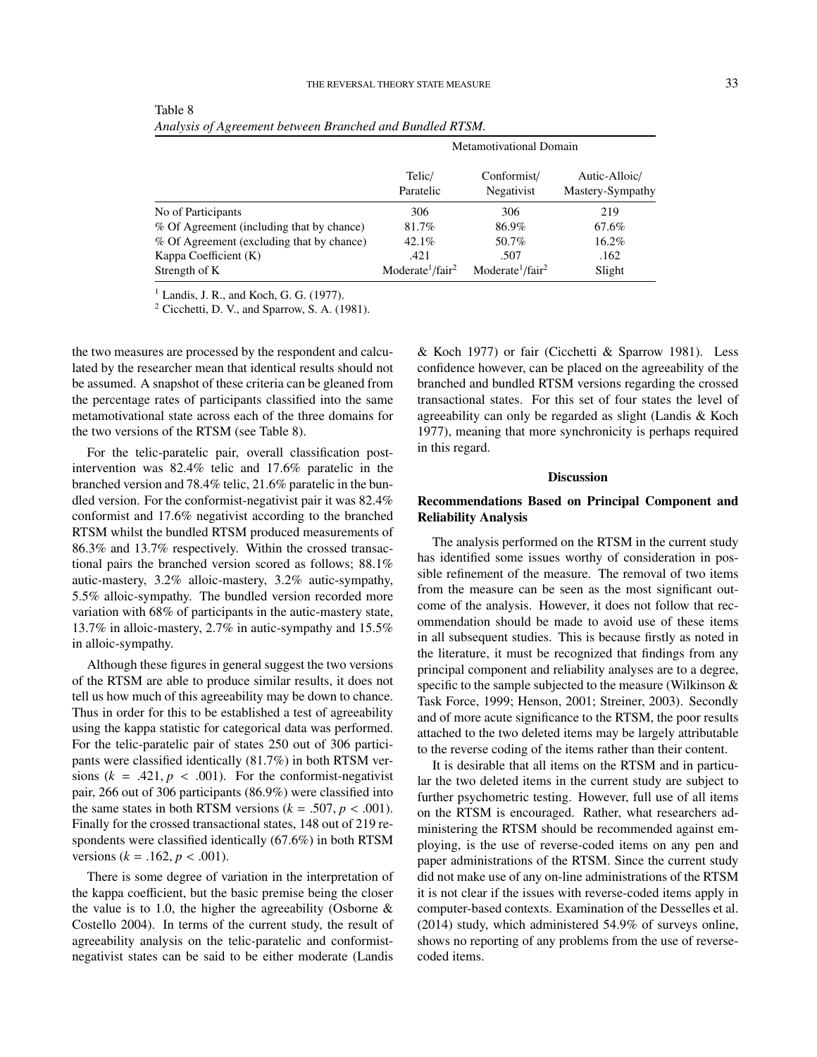|                                           | <b>Metamotivational Domain</b>           |                                          |                                   |  |
|-------------------------------------------|------------------------------------------|------------------------------------------|-----------------------------------|--|
|                                           | Telic/<br>Paratelic                      | Conformist/<br>Negativist                | Autic-Alloic/<br>Mastery-Sympathy |  |
| No of Participants                        | 306                                      | 306                                      | 219                               |  |
| % Of Agreement (including that by chance) | 81.7%                                    | 86.9%                                    | 67.6%                             |  |
| % Of Agreement (excluding that by chance) | $42.1\%$                                 | 50.7%                                    | 16.2%                             |  |
| Kappa Coefficient (K)                     | .421                                     | .507                                     | .162                              |  |
| Strength of K                             | Moderate <sup>1</sup> /fair <sup>2</sup> | Moderate <sup>1</sup> /fair <sup>2</sup> | Slight                            |  |

Table 8 *Analysis of Agreement between Branched and Bundled RTSM.*

 $<sup>1</sup>$  Landis, J. R., and Koch, G. G. (1977).</sup>

<sup>2</sup> Cicchetti, D. V., and Sparrow, S. A. (1981).

the two measures are processed by the respondent and calculated by the researcher mean that identical results should not be assumed. A snapshot of these criteria can be gleaned from the percentage rates of participants classified into the same metamotivational state across each of the three domains for the two versions of the RTSM (see Table 8).

For the telic-paratelic pair, overall classification postintervention was 82.4% telic and 17.6% paratelic in the branched version and 78.4% telic, 21.6% paratelic in the bundled version. For the conformist-negativist pair it was 82.4% conformist and 17.6% negativist according to the branched RTSM whilst the bundled RTSM produced measurements of 86.3% and 13.7% respectively. Within the crossed transactional pairs the branched version scored as follows; 88.1% autic-mastery, 3.2% alloic-mastery, 3.2% autic-sympathy, 5.5% alloic-sympathy. The bundled version recorded more variation with 68% of participants in the autic-mastery state, 13.7% in alloic-mastery, 2.7% in autic-sympathy and 15.5% in alloic-sympathy.

Although these figures in general suggest the two versions of the RTSM are able to produce similar results, it does not tell us how much of this agreeability may be down to chance. Thus in order for this to be established a test of agreeability using the kappa statistic for categorical data was performed. For the telic-paratelic pair of states 250 out of 306 participants were classified identically (81.7%) in both RTSM versions  $(k = .421, p < .001)$ . For the conformist-negativist pair, 266 out of 306 participants (86.9%) were classified into the same states in both RTSM versions  $(k = .507, p < .001)$ . Finally for the crossed transactional states, 148 out of 219 respondents were classified identically (67.6%) in both RTSM versions ( $k = .162$ ,  $p < .001$ ).

There is some degree of variation in the interpretation of the kappa coefficient, but the basic premise being the closer the value is to 1.0, the higher the agreeability (Osborne  $\&$ Costello 2004). In terms of the current study, the result of agreeability analysis on the telic-paratelic and conformistnegativist states can be said to be either moderate (Landis & Koch 1977) or fair (Cicchetti & Sparrow 1981). Less confidence however, can be placed on the agreeability of the branched and bundled RTSM versions regarding the crossed transactional states. For this set of four states the level of agreeability can only be regarded as slight (Landis & Koch 1977), meaning that more synchronicity is perhaps required in this regard.

### Discussion

## Recommendations Based on Principal Component and Reliability Analysis

The analysis performed on the RTSM in the current study has identified some issues worthy of consideration in possible refinement of the measure. The removal of two items from the measure can be seen as the most significant outcome of the analysis. However, it does not follow that recommendation should be made to avoid use of these items in all subsequent studies. This is because firstly as noted in the literature, it must be recognized that findings from any principal component and reliability analyses are to a degree, specific to the sample subjected to the measure (Wilkinson & Task Force, 1999; Henson, 2001; Streiner, 2003). Secondly and of more acute significance to the RTSM, the poor results attached to the two deleted items may be largely attributable to the reverse coding of the items rather than their content.

It is desirable that all items on the RTSM and in particular the two deleted items in the current study are subject to further psychometric testing. However, full use of all items on the RTSM is encouraged. Rather, what researchers administering the RTSM should be recommended against employing, is the use of reverse-coded items on any pen and paper administrations of the RTSM. Since the current study did not make use of any on-line administrations of the RTSM it is not clear if the issues with reverse-coded items apply in computer-based contexts. Examination of the Desselles et al. (2014) study, which administered 54.9% of surveys online, shows no reporting of any problems from the use of reversecoded items.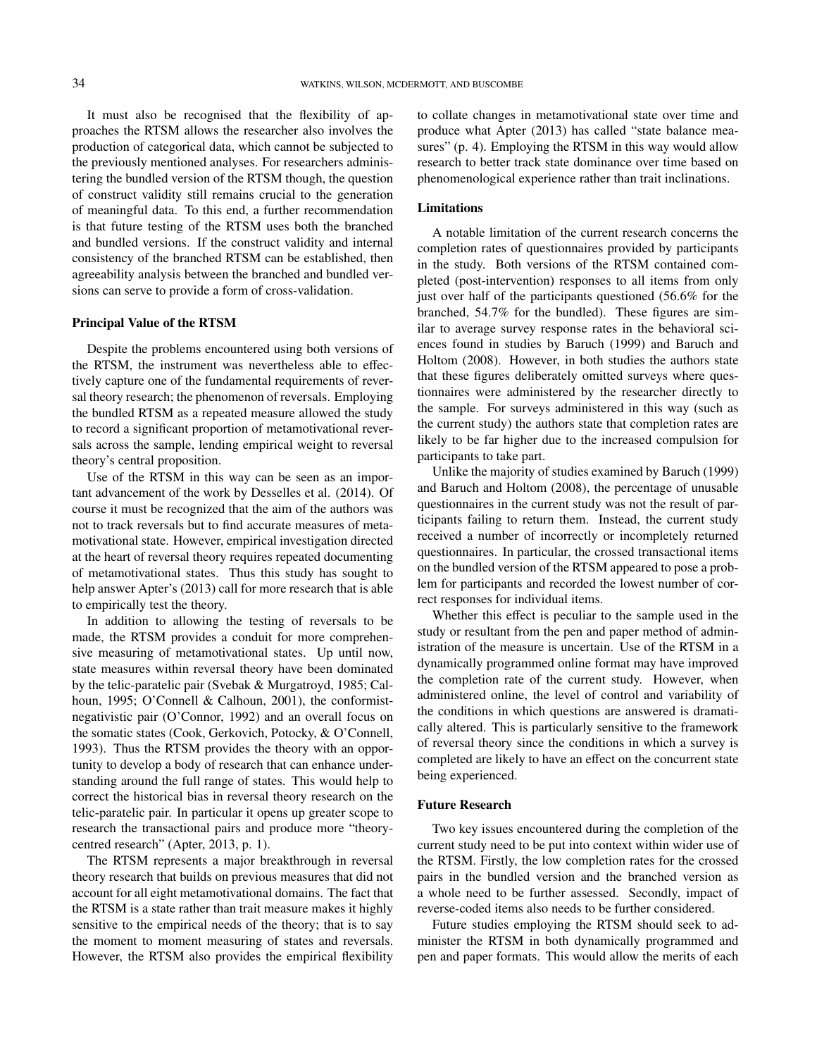It must also be recognised that the flexibility of approaches the RTSM allows the researcher also involves the production of categorical data, which cannot be subjected to the previously mentioned analyses. For researchers administering the bundled version of the RTSM though, the question of construct validity still remains crucial to the generation of meaningful data. To this end, a further recommendation is that future testing of the RTSM uses both the branched and bundled versions. If the construct validity and internal consistency of the branched RTSM can be established, then agreeability analysis between the branched and bundled versions can serve to provide a form of cross-validation.

#### Principal Value of the RTSM

Despite the problems encountered using both versions of the RTSM, the instrument was nevertheless able to effectively capture one of the fundamental requirements of reversal theory research; the phenomenon of reversals. Employing the bundled RTSM as a repeated measure allowed the study to record a significant proportion of metamotivational reversals across the sample, lending empirical weight to reversal theory's central proposition.

Use of the RTSM in this way can be seen as an important advancement of the work by Desselles et al. (2014). Of course it must be recognized that the aim of the authors was not to track reversals but to find accurate measures of metamotivational state. However, empirical investigation directed at the heart of reversal theory requires repeated documenting of metamotivational states. Thus this study has sought to help answer Apter's (2013) call for more research that is able to empirically test the theory.

In addition to allowing the testing of reversals to be made, the RTSM provides a conduit for more comprehensive measuring of metamotivational states. Up until now, state measures within reversal theory have been dominated by the telic-paratelic pair (Svebak & Murgatroyd, 1985; Calhoun, 1995; O'Connell & Calhoun, 2001), the conformistnegativistic pair (O'Connor, 1992) and an overall focus on the somatic states (Cook, Gerkovich, Potocky, & O'Connell, 1993). Thus the RTSM provides the theory with an opportunity to develop a body of research that can enhance understanding around the full range of states. This would help to correct the historical bias in reversal theory research on the telic-paratelic pair. In particular it opens up greater scope to research the transactional pairs and produce more "theorycentred research" (Apter, 2013, p. 1).

The RTSM represents a major breakthrough in reversal theory research that builds on previous measures that did not account for all eight metamotivational domains. The fact that the RTSM is a state rather than trait measure makes it highly sensitive to the empirical needs of the theory; that is to say the moment to moment measuring of states and reversals. However, the RTSM also provides the empirical flexibility

to collate changes in metamotivational state over time and produce what Apter (2013) has called "state balance measures" (p. 4). Employing the RTSM in this way would allow research to better track state dominance over time based on phenomenological experience rather than trait inclinations.

### Limitations

A notable limitation of the current research concerns the completion rates of questionnaires provided by participants in the study. Both versions of the RTSM contained completed (post-intervention) responses to all items from only just over half of the participants questioned (56.6% for the branched, 54.7% for the bundled). These figures are similar to average survey response rates in the behavioral sciences found in studies by Baruch (1999) and Baruch and Holtom (2008). However, in both studies the authors state that these figures deliberately omitted surveys where questionnaires were administered by the researcher directly to the sample. For surveys administered in this way (such as the current study) the authors state that completion rates are likely to be far higher due to the increased compulsion for participants to take part.

Unlike the majority of studies examined by Baruch (1999) and Baruch and Holtom (2008), the percentage of unusable questionnaires in the current study was not the result of participants failing to return them. Instead, the current study received a number of incorrectly or incompletely returned questionnaires. In particular, the crossed transactional items on the bundled version of the RTSM appeared to pose a problem for participants and recorded the lowest number of correct responses for individual items.

Whether this effect is peculiar to the sample used in the study or resultant from the pen and paper method of administration of the measure is uncertain. Use of the RTSM in a dynamically programmed online format may have improved the completion rate of the current study. However, when administered online, the level of control and variability of the conditions in which questions are answered is dramatically altered. This is particularly sensitive to the framework of reversal theory since the conditions in which a survey is completed are likely to have an effect on the concurrent state being experienced.

#### Future Research

Two key issues encountered during the completion of the current study need to be put into context within wider use of the RTSM. Firstly, the low completion rates for the crossed pairs in the bundled version and the branched version as a whole need to be further assessed. Secondly, impact of reverse-coded items also needs to be further considered.

Future studies employing the RTSM should seek to administer the RTSM in both dynamically programmed and pen and paper formats. This would allow the merits of each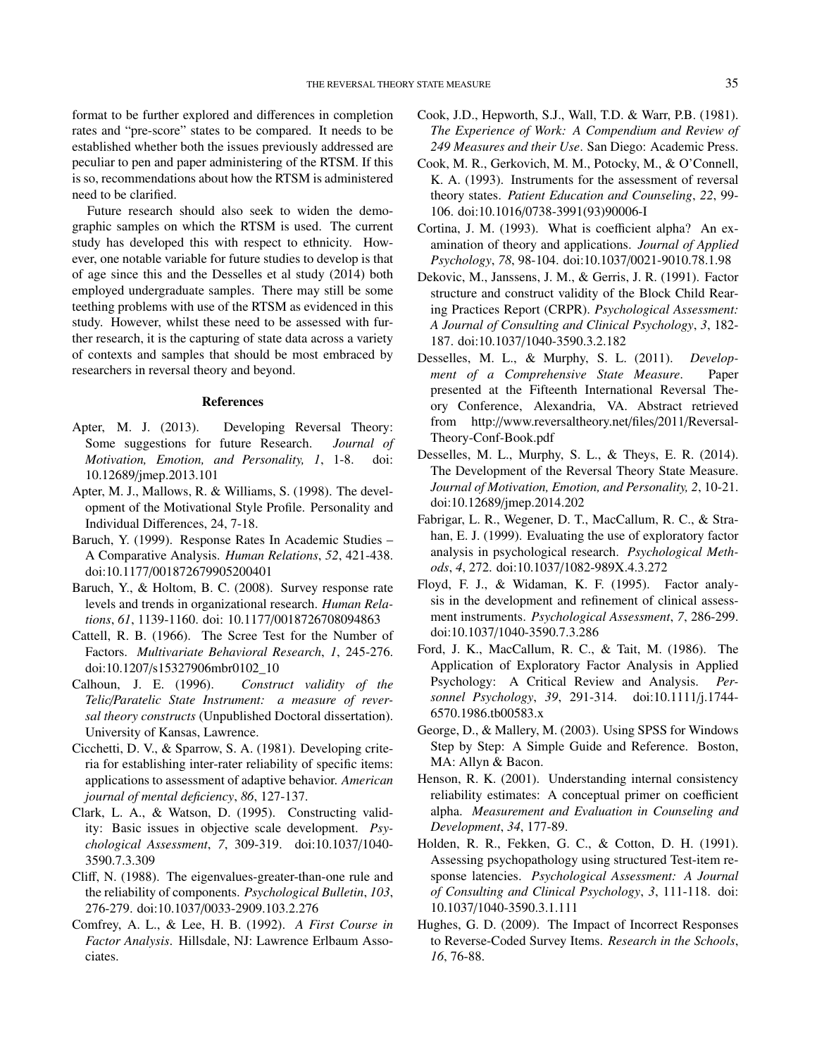format to be further explored and differences in completion rates and "pre-score" states to be compared. It needs to be established whether both the issues previously addressed are peculiar to pen and paper administering of the RTSM. If this is so, recommendations about how the RTSM is administered need to be clarified.

Future research should also seek to widen the demographic samples on which the RTSM is used. The current study has developed this with respect to ethnicity. However, one notable variable for future studies to develop is that of age since this and the Desselles et al study (2014) both employed undergraduate samples. There may still be some teething problems with use of the RTSM as evidenced in this study. However, whilst these need to be assessed with further research, it is the capturing of state data across a variety of contexts and samples that should be most embraced by researchers in reversal theory and beyond.

#### References

- Apter, M. J. (2013). Developing Reversal Theory: Some suggestions for future Research. *Journal of Motivation, Emotion, and Personality, 1*, 1-8. doi: 10.12689/jmep.2013.101
- Apter, M. J., Mallows, R. & Williams, S. (1998). The development of the Motivational Style Profile. Personality and Individual Differences, 24, 7-18.
- Baruch, Y. (1999). Response Rates In Academic Studies A Comparative Analysis. *Human Relations*, *52*, 421-438. doi:10.1177/001872679905200401
- Baruch, Y., & Holtom, B. C. (2008). Survey response rate levels and trends in organizational research. *Human Relations*, *61*, 1139-1160. doi: 10.1177/0018726708094863
- Cattell, R. B. (1966). The Scree Test for the Number of Factors. *Multivariate Behavioral Research*, *1*, 245-276. doi:10.1207/s15327906mbr0102\_10
- Calhoun, J. E. (1996). *Construct validity of the Telic*/*Paratelic State Instrument: a measure of reversal theory constructs* (Unpublished Doctoral dissertation). University of Kansas, Lawrence.
- Cicchetti, D. V., & Sparrow, S. A. (1981). Developing criteria for establishing inter-rater reliability of specific items: applications to assessment of adaptive behavior. *American journal of mental deficiency*, *86*, 127-137.
- Clark, L. A., & Watson, D. (1995). Constructing validity: Basic issues in objective scale development. *Psychological Assessment*, *7*, 309-319. doi:10.1037/1040- 3590.7.3.309
- Cliff, N. (1988). The eigenvalues-greater-than-one rule and the reliability of components. *Psychological Bulletin*, *103*, 276-279. doi:10.1037/0033-2909.103.2.276
- Comfrey, A. L., & Lee, H. B. (1992). *A First Course in Factor Analysis*. Hillsdale, NJ: Lawrence Erlbaum Associates.
- Cook, J.D., Hepworth, S.J., Wall, T.D. & Warr, P.B. (1981). *The Experience of Work: A Compendium and Review of 249 Measures and their Use*. San Diego: Academic Press.
- Cook, M. R., Gerkovich, M. M., Potocky, M., & O'Connell, K. A. (1993). Instruments for the assessment of reversal theory states. *Patient Education and Counseling*, *22*, 99- 106. doi:10.1016/0738-3991(93)90006-I
- Cortina, J. M. (1993). What is coefficient alpha? An examination of theory and applications. *Journal of Applied Psychology*, *78*, 98-104. doi:10.1037/0021-9010.78.1.98
- Dekovic, M., Janssens, J. M., & Gerris, J. R. (1991). Factor structure and construct validity of the Block Child Rearing Practices Report (CRPR). *Psychological Assessment: A Journal of Consulting and Clinical Psychology*, *3*, 182- 187. doi:10.1037/1040-3590.3.2.182
- Desselles, M. L., & Murphy, S. L. (2011). *Development of a Comprehensive State Measure*. Paper presented at the Fifteenth International Reversal Theory Conference, Alexandria, VA. Abstract retrieved from http://www.reversaltheory.net/files/2011/Reversal-Theory-Conf-Book.pdf
- Desselles, M. L., Murphy, S. L., & Theys, E. R. (2014). The Development of the Reversal Theory State Measure. *Journal of Motivation, Emotion, and Personality, 2*, 10-21. doi:10.12689/jmep.2014.202
- Fabrigar, L. R., Wegener, D. T., MacCallum, R. C., & Strahan, E. J. (1999). Evaluating the use of exploratory factor analysis in psychological research. *Psychological Methods*, *4*, 272. doi:10.1037/1082-989X.4.3.272
- Floyd, F. J., & Widaman, K. F. (1995). Factor analysis in the development and refinement of clinical assessment instruments. *Psychological Assessment*, *7*, 286-299. doi:10.1037/1040-3590.7.3.286
- Ford, J. K., MacCallum, R. C., & Tait, M. (1986). The Application of Exploratory Factor Analysis in Applied Psychology: A Critical Review and Analysis. *Personnel Psychology*, *39*, 291-314. doi:10.1111/j.1744- 6570.1986.tb00583.x
- George, D., & Mallery, M. (2003). Using SPSS for Windows Step by Step: A Simple Guide and Reference. Boston, MA: Allyn & Bacon.
- Henson, R. K. (2001). Understanding internal consistency reliability estimates: A conceptual primer on coefficient alpha. *Measurement and Evaluation in Counseling and Development*, *34*, 177-89.
- Holden, R. R., Fekken, G. C., & Cotton, D. H. (1991). Assessing psychopathology using structured Test-item response latencies. *Psychological Assessment: A Journal of Consulting and Clinical Psychology*, *3*, 111-118. doi: 10.1037/1040-3590.3.1.111
- Hughes, G. D. (2009). The Impact of Incorrect Responses to Reverse-Coded Survey Items. *Research in the Schools*, *16*, 76-88.